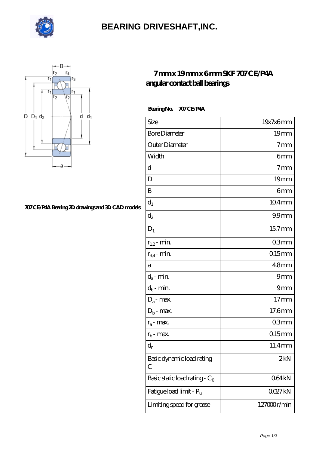

### **[BEARING DRIVESHAFT,INC.](https://visionsofzosimos.net)**



#### **[707 CE/P4A Bearing 2D drawings and 3D CAD models](https://visionsofzosimos.net/pic-65124219.html)**

### **[7 mm x 19 mm x 6 mm SKF 707 CE/P4A](https://visionsofzosimos.net/skf-707-ce-p4a-bearing/) [angular contact ball bearings](https://visionsofzosimos.net/skf-707-ce-p4a-bearing/)**

 **Bearing No. 707 CE/P4A**

| Size                             | 19x7x6mm           |
|----------------------------------|--------------------|
| <b>Bore Diameter</b>             | 19 <sub>mm</sub>   |
| Outer Diameter                   | 7 <sub>mm</sub>    |
| Width                            | 6mm                |
| d                                | $7 \text{mm}$      |
| D                                | 19 <sub>mm</sub>   |
| B                                | 6mm                |
| $d_1$                            | $104$ mm           |
| $\mathrm{d}_2$                   | 99 <sub>mm</sub>   |
| $D_1$                            | 157mm              |
| $r_{1,2}$ - min.                 | 03 <sub>mm</sub>   |
| $r_{34}$ - min.                  | $0.15$ mm          |
| а                                | 48 <sub>mm</sub>   |
| $d_a$ - min.                     | 9mm                |
| $d_b\operatorname{-} \min$       | 9mm                |
| $D_a$ - max.                     | 17 <sub>mm</sub>   |
| $D_b$ - max.                     | 17.6mm             |
| $r_a$ - max.                     | 03 <sub>mm</sub>   |
| $r_{b}$ - max.                   | $015$ mm           |
| $d_{n}$                          | 11.4mm             |
| Basic dynamic load rating-<br>С  | 2kN                |
| Basic static load rating - $C_0$ | 064kN              |
| Fatigue load limit - Pu          | QQ27 <sub>kN</sub> |
| Limiting speed for grease        | 127000r/min        |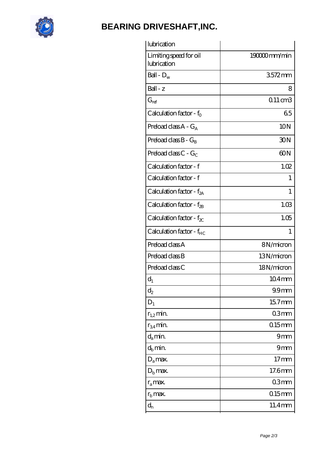

# **[BEARING DRIVESHAFT,INC.](https://visionsofzosimos.net)**

| lubrication                           |                    |
|---------------------------------------|--------------------|
| Limiting speed for oil<br>lubrication | 190000mm/min       |
| Ball - $D_w$                          | 3572mm             |
| Ball - z                              | 8                  |
| $G_{ref}$                             | $011 \text{ cm}$ 3 |
| Calculation factor - $f_0$            | 65                 |
| Preload class $A - G_A$               | 10N                |
| Preload class $B - G_B$               | 30N                |
| Preload class $C - G_C$               | 60N                |
| Calculation factor - f                | 1.02               |
| Calculation factor - f                | 1                  |
| Calculation factor - $f_{2A}$         | 1                  |
| Calculation factor - $f_{\rm 2B}$     | 1.03               |
| Calculation factor - $f_{\chi}$       | 1.05               |
|                                       |                    |
| Calculation factor - $f_{HC}$         | $\mathbf{1}$       |
| Preload class A                       | 8N/micron          |
| Preload class B                       | 13N/micron         |
| Preload class C                       | 18N/micron         |
| $d_1$                                 | 104mm              |
| $\mathrm{d}_2$                        | 99 <sub>mm</sub>   |
| $D_1$                                 | $157$ mm           |
| $r_{1,2}$ min.                        | 03mm               |
| $r_{34}$ min.                         | $0.15$ mm          |
| $d_a$ min.                            | 9mm                |
| $d_h$ min.                            | 9mm                |
| $D_a$ max.                            | $17 \text{mm}$     |
| $D_{b}$ max.                          | 17.6mm             |
| $r_a$ max.                            | 03mm               |
| $r_{\rm b}$ max.                      | $0.15$ mm          |